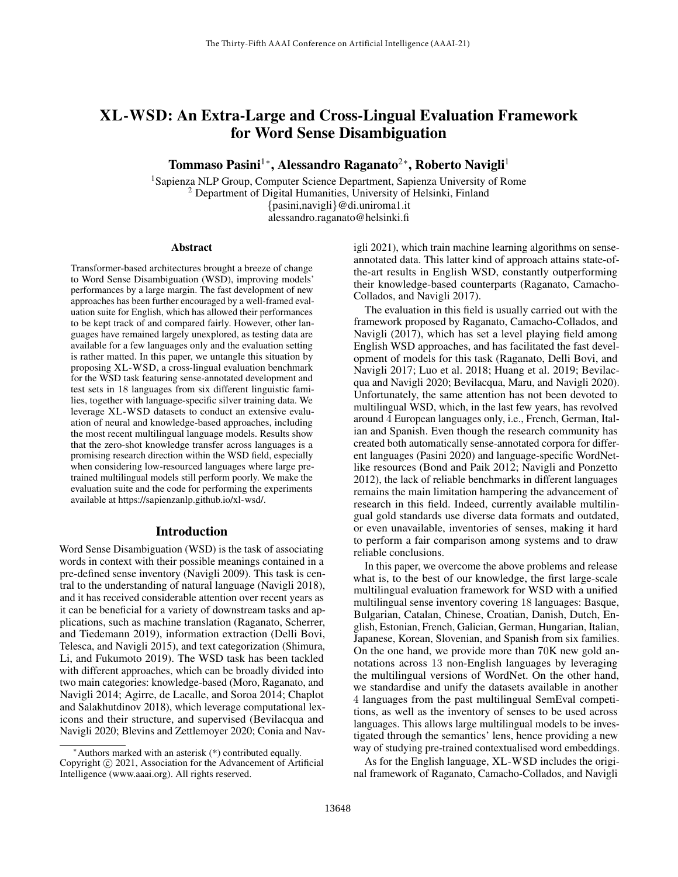# XL-WSD: An Extra-Large and Cross-Lingual Evaluation Framework for Word Sense Disambiguation

Tommaso Pasini™, Alessandro Raganato<sup>2</sup>\*, Roberto Navigli<sup>1</sup>

<sup>1</sup>Sapienza NLP Group, Computer Science Department, Sapienza University of Rome <sup>2</sup> Department of Digital Humanities, University of Helsinki, Finland {pasini,navigli}@di.uniroma1.it alessandro.raganato@helsinki.fi

#### Abstract

Transformer-based architectures brought a breeze of change to Word Sense Disambiguation (WSD), improving models' performances by a large margin. The fast development of new approaches has been further encouraged by a well-framed evaluation suite for English, which has allowed their performances to be kept track of and compared fairly. However, other languages have remained largely unexplored, as testing data are available for a few languages only and the evaluation setting is rather matted. In this paper, we untangle this situation by proposing XL-WSD, a cross-lingual evaluation benchmark for the WSD task featuring sense-annotated development and test sets in 18 languages from six different linguistic families, together with language-specific silver training data. We leverage XL-WSD datasets to conduct an extensive evaluation of neural and knowledge-based approaches, including the most recent multilingual language models. Results show that the zero-shot knowledge transfer across languages is a promising research direction within the WSD field, especially when considering low-resourced languages where large pretrained multilingual models still perform poorly. We make the evaluation suite and the code for performing the experiments available at https://sapienzanlp.github.io/xl-wsd/.

#### Introduction

Word Sense Disambiguation (WSD) is the task of associating words in context with their possible meanings contained in a pre-defined sense inventory (Navigli 2009). This task is central to the understanding of natural language (Navigli 2018), and it has received considerable attention over recent years as it can be beneficial for a variety of downstream tasks and applications, such as machine translation (Raganato, Scherrer, and Tiedemann 2019), information extraction (Delli Bovi, Telesca, and Navigli 2015), and text categorization (Shimura, Li, and Fukumoto 2019). The WSD task has been tackled with different approaches, which can be broadly divided into two main categories: knowledge-based (Moro, Raganato, and Navigli 2014; Agirre, de Lacalle, and Soroa 2014; Chaplot and Salakhutdinov 2018), which leverage computational lexicons and their structure, and supervised (Bevilacqua and Navigli 2020; Blevins and Zettlemoyer 2020; Conia and Navigli 2021), which train machine learning algorithms on senseannotated data. This latter kind of approach attains state-ofthe-art results in English WSD, constantly outperforming their knowledge-based counterparts (Raganato, Camacho-Collados, and Navigli 2017).

The evaluation in this field is usually carried out with the framework proposed by Raganato, Camacho-Collados, and Navigli (2017), which has set a level playing field among English WSD approaches, and has facilitated the fast development of models for this task (Raganato, Delli Bovi, and Navigli 2017; Luo et al. 2018; Huang et al. 2019; Bevilacqua and Navigli 2020; Bevilacqua, Maru, and Navigli 2020). Unfortunately, the same attention has not been devoted to multilingual WSD, which, in the last few years, has revolved around 4 European languages only, i.e., French, German, Italian and Spanish. Even though the research community has created both automatically sense-annotated corpora for different languages (Pasini 2020) and language-specific WordNetlike resources (Bond and Paik 2012; Navigli and Ponzetto 2012), the lack of reliable benchmarks in different languages remains the main limitation hampering the advancement of research in this field. Indeed, currently available multilingual gold standards use diverse data formats and outdated, or even unavailable, inventories of senses, making it hard to perform a fair comparison among systems and to draw reliable conclusions.

In this paper, we overcome the above problems and release what is, to the best of our knowledge, the first large-scale multilingual evaluation framework for WSD with a unified multilingual sense inventory covering 18 languages: Basque, Bulgarian, Catalan, Chinese, Croatian, Danish, Dutch, English, Estonian, French, Galician, German, Hungarian, Italian, Japanese, Korean, Slovenian, and Spanish from six families. On the one hand, we provide more than 70K new gold annotations across 13 non-English languages by leveraging the multilingual versions of WordNet. On the other hand, we standardise and unify the datasets available in another 4 languages from the past multilingual SemEval competitions, as well as the inventory of senses to be used across languages. This allows large multilingual models to be investigated through the semantics' lens, hence providing a new way of studying pre-trained contextualised word embeddings.

As for the English language, XL-WSD includes the original framework of Raganato, Camacho-Collados, and Navigli

<sup>∗</sup>Authors marked with an asterisk (\*) contributed equally. Copyright © 2021, Association for the Advancement of Artificial Intelligence (www.aaai.org). All rights reserved.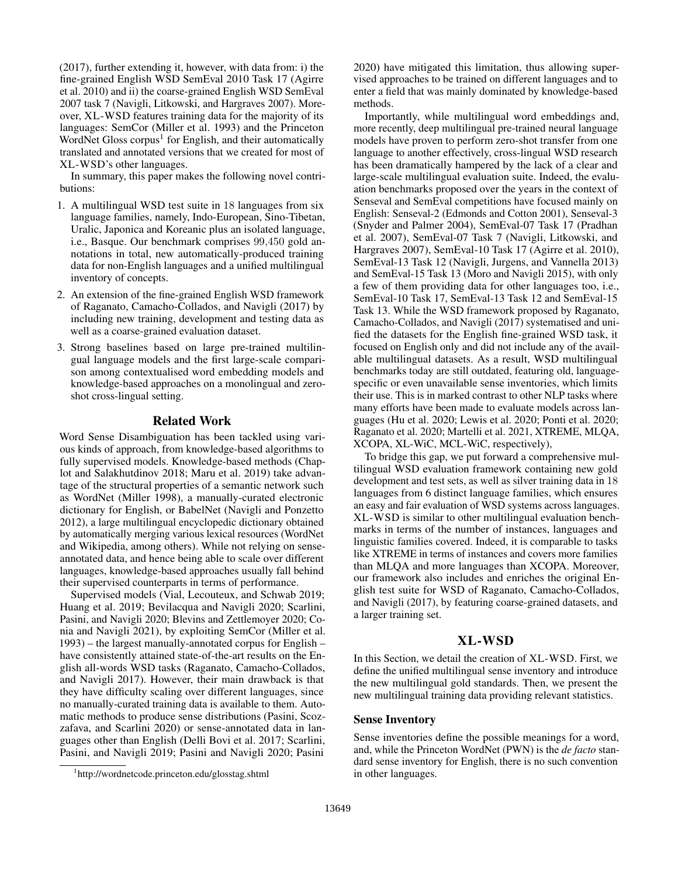(2017), further extending it, however, with data from: i) the fine-grained English WSD SemEval 2010 Task 17 (Agirre et al. 2010) and ii) the coarse-grained English WSD SemEval 2007 task 7 (Navigli, Litkowski, and Hargraves 2007). Moreover, XL-WSD features training data for the majority of its languages: SemCor (Miller et al. 1993) and the Princeton WordNet Gloss corpus<sup>1</sup> for English, and their automatically translated and annotated versions that we created for most of XL-WSD's other languages.

In summary, this paper makes the following novel contributions:

- 1. A multilingual WSD test suite in 18 languages from six language families, namely, Indo-European, Sino-Tibetan, Uralic, Japonica and Koreanic plus an isolated language, i.e., Basque. Our benchmark comprises 99,450 gold annotations in total, new automatically-produced training data for non-English languages and a unified multilingual inventory of concepts.
- 2. An extension of the fine-grained English WSD framework of Raganato, Camacho-Collados, and Navigli (2017) by including new training, development and testing data as well as a coarse-grained evaluation dataset.
- 3. Strong baselines based on large pre-trained multilingual language models and the first large-scale comparison among contextualised word embedding models and knowledge-based approaches on a monolingual and zeroshot cross-lingual setting.

#### Related Work

Word Sense Disambiguation has been tackled using various kinds of approach, from knowledge-based algorithms to fully supervised models. Knowledge-based methods (Chaplot and Salakhutdinov 2018; Maru et al. 2019) take advantage of the structural properties of a semantic network such as WordNet (Miller 1998), a manually-curated electronic dictionary for English, or BabelNet (Navigli and Ponzetto 2012), a large multilingual encyclopedic dictionary obtained by automatically merging various lexical resources (WordNet and Wikipedia, among others). While not relying on senseannotated data, and hence being able to scale over different languages, knowledge-based approaches usually fall behind their supervised counterparts in terms of performance.

Supervised models (Vial, Lecouteux, and Schwab 2019; Huang et al. 2019; Bevilacqua and Navigli 2020; Scarlini, Pasini, and Navigli 2020; Blevins and Zettlemoyer 2020; Conia and Navigli 2021), by exploiting SemCor (Miller et al. 1993) – the largest manually-annotated corpus for English – have consistently attained state-of-the-art results on the English all-words WSD tasks (Raganato, Camacho-Collados, and Navigli 2017). However, their main drawback is that they have difficulty scaling over different languages, since no manually-curated training data is available to them. Automatic methods to produce sense distributions (Pasini, Scozzafava, and Scarlini 2020) or sense-annotated data in languages other than English (Delli Bovi et al. 2017; Scarlini, Pasini, and Navigli 2019; Pasini and Navigli 2020; Pasini

2020) have mitigated this limitation, thus allowing supervised approaches to be trained on different languages and to enter a field that was mainly dominated by knowledge-based methods.

Importantly, while multilingual word embeddings and, more recently, deep multilingual pre-trained neural language models have proven to perform zero-shot transfer from one language to another effectively, cross-lingual WSD research has been dramatically hampered by the lack of a clear and large-scale multilingual evaluation suite. Indeed, the evaluation benchmarks proposed over the years in the context of Senseval and SemEval competitions have focused mainly on English: Senseval-2 (Edmonds and Cotton 2001), Senseval-3 (Snyder and Palmer 2004), SemEval-07 Task 17 (Pradhan et al. 2007), SemEval-07 Task 7 (Navigli, Litkowski, and Hargraves 2007), SemEval-10 Task 17 (Agirre et al. 2010), SemEval-13 Task 12 (Navigli, Jurgens, and Vannella 2013) and SemEval-15 Task 13 (Moro and Navigli 2015), with only a few of them providing data for other languages too, i.e., SemEval-10 Task 17, SemEval-13 Task 12 and SemEval-15 Task 13. While the WSD framework proposed by Raganato, Camacho-Collados, and Navigli (2017) systematised and unified the datasets for the English fine-grained WSD task, it focused on English only and did not include any of the available multilingual datasets. As a result, WSD multilingual benchmarks today are still outdated, featuring old, languagespecific or even unavailable sense inventories, which limits their use. This is in marked contrast to other NLP tasks where many efforts have been made to evaluate models across languages (Hu et al. 2020; Lewis et al. 2020; Ponti et al. 2020; Raganato et al. 2020; Martelli et al. 2021, XTREME, MLQA, XCOPA, XL-WiC, MCL-WiC, respectively),

To bridge this gap, we put forward a comprehensive multilingual WSD evaluation framework containing new gold development and test sets, as well as silver training data in 18 languages from 6 distinct language families, which ensures an easy and fair evaluation of WSD systems across languages. XL-WSD is similar to other multilingual evaluation benchmarks in terms of the number of instances, languages and linguistic families covered. Indeed, it is comparable to tasks like XTREME in terms of instances and covers more families than MLQA and more languages than XCOPA. Moreover, our framework also includes and enriches the original English test suite for WSD of Raganato, Camacho-Collados, and Navigli (2017), by featuring coarse-grained datasets, and a larger training set.

## XL-WSD

In this Section, we detail the creation of XL-WSD. First, we define the unified multilingual sense inventory and introduce the new multilingual gold standards. Then, we present the new multilingual training data providing relevant statistics.

#### Sense Inventory

Sense inventories define the possible meanings for a word, and, while the Princeton WordNet (PWN) is the *de facto* standard sense inventory for English, there is no such convention in other languages.

<sup>1</sup> http://wordnetcode.princeton.edu/glosstag.shtml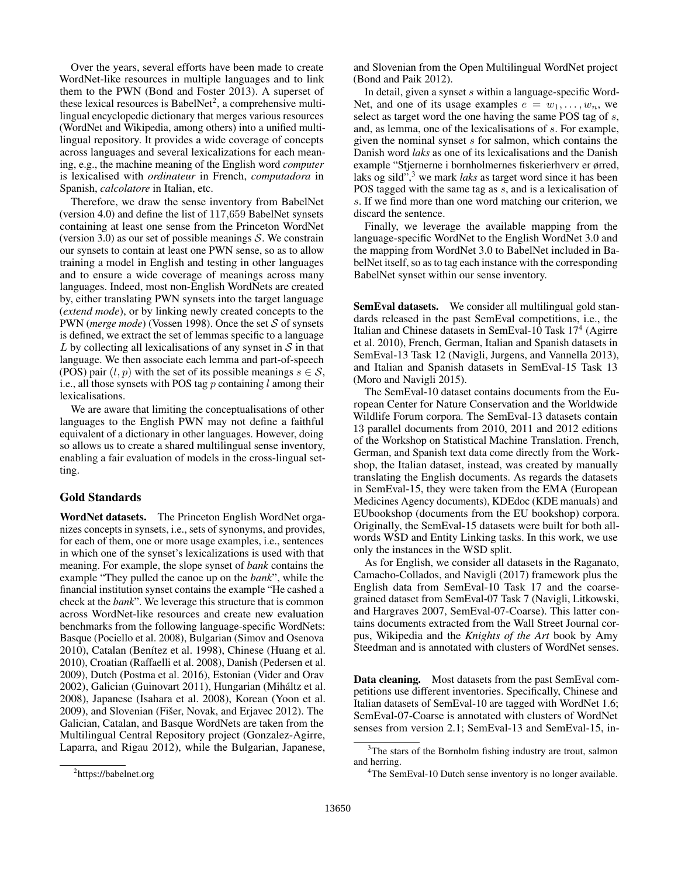Over the years, several efforts have been made to create WordNet-like resources in multiple languages and to link them to the PWN (Bond and Foster 2013). A superset of these lexical resources is BabelNet<sup>2</sup>, a comprehensive multilingual encyclopedic dictionary that merges various resources (WordNet and Wikipedia, among others) into a unified multilingual repository. It provides a wide coverage of concepts across languages and several lexicalizations for each meaning, e.g., the machine meaning of the English word *computer* is lexicalised with *ordinateur* in French, *computadora* in Spanish, *calcolatore* in Italian, etc.

Therefore, we draw the sense inventory from BabelNet (version 4.0) and define the list of 117,659 BabelNet synsets containing at least one sense from the Princeton WordNet (version 3.0) as our set of possible meanings  $S$ . We constrain our synsets to contain at least one PWN sense, so as to allow training a model in English and testing in other languages and to ensure a wide coverage of meanings across many languages. Indeed, most non-English WordNets are created by, either translating PWN synsets into the target language (*extend mode*), or by linking newly created concepts to the PWN (*merge mode*) (Vossen 1998). Once the set S of synsets is defined, we extract the set of lemmas specific to a language L by collecting all lexicalisations of any synset in  $S$  in that language. We then associate each lemma and part-of-speech (POS) pair  $(l, p)$  with the set of its possible meanings  $s \in S$ , i.e., all those synsets with POS tag  $p$  containing  $l$  among their lexicalisations.

We are aware that limiting the conceptualisations of other languages to the English PWN may not define a faithful equivalent of a dictionary in other languages. However, doing so allows us to create a shared multilingual sense inventory, enabling a fair evaluation of models in the cross-lingual setting.

#### Gold Standards

WordNet datasets. The Princeton English WordNet organizes concepts in synsets, i.e., sets of synonyms, and provides, for each of them, one or more usage examples, i.e., sentences in which one of the synset's lexicalizations is used with that meaning. For example, the slope synset of *bank* contains the example "They pulled the canoe up on the *bank*", while the financial institution synset contains the example "He cashed a check at the *bank*". We leverage this structure that is common across WordNet-like resources and create new evaluation benchmarks from the following language-specific WordNets: Basque (Pociello et al. 2008), Bulgarian (Simov and Osenova 2010), Catalan (Benítez et al. 1998), Chinese (Huang et al. 2010), Croatian (Raffaelli et al. 2008), Danish (Pedersen et al. 2009), Dutch (Postma et al. 2016), Estonian (Vider and Orav 2002), Galician (Guinovart 2011), Hungarian (Mihaltz et al. ´ 2008), Japanese (Isahara et al. 2008), Korean (Yoon et al. 2009), and Slovenian (Fišer, Novak, and Erjavec 2012). The Galician, Catalan, and Basque WordNets are taken from the Multilingual Central Repository project (Gonzalez-Agirre, Laparra, and Rigau 2012), while the Bulgarian, Japanese,

and Slovenian from the Open Multilingual WordNet project (Bond and Paik 2012).

In detail, given a synset  $s$  within a language-specific Word-Net, and one of its usage examples  $e = w_1, \ldots, w_n$ , we select as target word the one having the same POS tag of s, and, as lemma, one of the lexicalisations of s. For example, given the nominal synset  $s$  for salmon, which contains the Danish word *laks* as one of its lexicalisations and the Danish example "Stjernerne i bornholmernes fiskerierhverv er ørred, laks og sild",<sup>3</sup> we mark *laks* as target word since it has been POS tagged with the same tag as s, and is a lexicalisation of s. If we find more than one word matching our criterion, we discard the sentence.

Finally, we leverage the available mapping from the language-specific WordNet to the English WordNet 3.0 and the mapping from WordNet 3.0 to BabelNet included in BabelNet itself, so as to tag each instance with the corresponding BabelNet synset within our sense inventory.

SemEval datasets. We consider all multilingual gold standards released in the past SemEval competitions, i.e., the Italian and Chinese datasets in SemEval-10 Task 17<sup>4</sup> (Agirre et al. 2010), French, German, Italian and Spanish datasets in SemEval-13 Task 12 (Navigli, Jurgens, and Vannella 2013), and Italian and Spanish datasets in SemEval-15 Task 13 (Moro and Navigli 2015).

The SemEval-10 dataset contains documents from the European Center for Nature Conservation and the Worldwide Wildlife Forum corpora. The SemEval-13 datasets contain 13 parallel documents from 2010, 2011 and 2012 editions of the Workshop on Statistical Machine Translation. French, German, and Spanish text data come directly from the Workshop, the Italian dataset, instead, was created by manually translating the English documents. As regards the datasets in SemEval-15, they were taken from the EMA (European Medicines Agency documents), KDEdoc (KDE manuals) and EUbookshop (documents from the EU bookshop) corpora. Originally, the SemEval-15 datasets were built for both allwords WSD and Entity Linking tasks. In this work, we use only the instances in the WSD split.

As for English, we consider all datasets in the Raganato, Camacho-Collados, and Navigli (2017) framework plus the English data from SemEval-10 Task 17 and the coarsegrained dataset from SemEval-07 Task 7 (Navigli, Litkowski, and Hargraves 2007, SemEval-07-Coarse). This latter contains documents extracted from the Wall Street Journal corpus, Wikipedia and the *Knights of the Art* book by Amy Steedman and is annotated with clusters of WordNet senses.

Data cleaning. Most datasets from the past SemEval competitions use different inventories. Specifically, Chinese and Italian datasets of SemEval-10 are tagged with WordNet 1.6; SemEval-07-Coarse is annotated with clusters of WordNet senses from version 2.1; SemEval-13 and SemEval-15, in-

<sup>&</sup>lt;sup>2</sup>https://babelnet.org

<sup>&</sup>lt;sup>3</sup>The stars of the Bornholm fishing industry are trout, salmon and herring.

<sup>&</sup>lt;sup>4</sup>The SemEval-10 Dutch sense inventory is no longer available.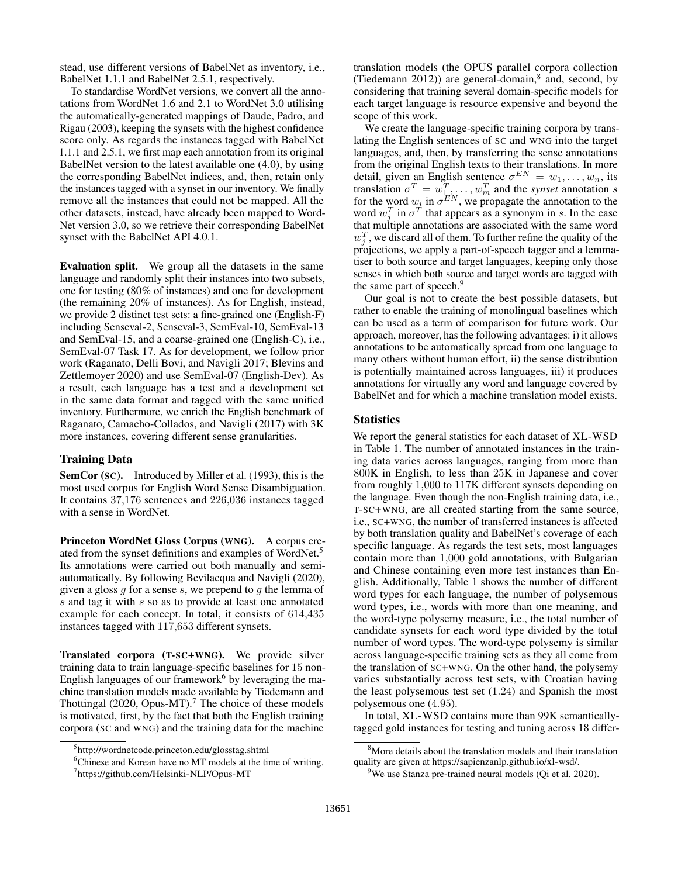stead, use different versions of BabelNet as inventory, i.e., BabelNet 1.1.1 and BabelNet 2.5.1, respectively.

To standardise WordNet versions, we convert all the annotations from WordNet 1.6 and 2.1 to WordNet 3.0 utilising the automatically-generated mappings of Daude, Padro, and Rigau (2003), keeping the synsets with the highest confidence score only. As regards the instances tagged with BabelNet 1.1.1 and 2.5.1, we first map each annotation from its original BabelNet version to the latest available one (4.0), by using the corresponding BabelNet indices, and, then, retain only the instances tagged with a synset in our inventory. We finally remove all the instances that could not be mapped. All the other datasets, instead, have already been mapped to Word-Net version 3.0, so we retrieve their corresponding BabelNet synset with the BabelNet API 4.0.1.

Evaluation split. We group all the datasets in the same language and randomly split their instances into two subsets, one for testing (80% of instances) and one for development (the remaining 20% of instances). As for English, instead, we provide 2 distinct test sets: a fine-grained one (English-F) including Senseval-2, Senseval-3, SemEval-10, SemEval-13 and SemEval-15, and a coarse-grained one (English-C), i.e., SemEval-07 Task 17. As for development, we follow prior work (Raganato, Delli Bovi, and Navigli 2017; Blevins and Zettlemoyer 2020) and use SemEval-07 (English-Dev). As a result, each language has a test and a development set in the same data format and tagged with the same unified inventory. Furthermore, we enrich the English benchmark of Raganato, Camacho-Collados, and Navigli (2017) with 3K more instances, covering different sense granularities.

#### Training Data

SemCor (SC). Introduced by Miller et al. (1993), this is the most used corpus for English Word Sense Disambiguation. It contains 37,176 sentences and 226,036 instances tagged with a sense in WordNet.

Princeton WordNet Gloss Corpus (WNG). A corpus created from the synset definitions and examples of WordNet.<sup>5</sup> Its annotations were carried out both manually and semiautomatically. By following Bevilacqua and Navigli (2020), given a gloss  $q$  for a sense  $s$ , we prepend to  $q$  the lemma of s and tag it with s so as to provide at least one annotated example for each concept. In total, it consists of 614,435 instances tagged with 117,653 different synsets.

Translated corpora (T-SC+WNG). We provide silver training data to train language-specific baselines for 15 non-English languages of our framework<sup>6</sup> by leveraging the machine translation models made available by Tiedemann and Thottingal (2020, Opus-MT).<sup>7</sup> The choice of these models is motivated, first, by the fact that both the English training corpora (SC and WNG) and the training data for the machine

translation models (the OPUS parallel corpora collection (Tiedemann 2012)) are general-domain, $8$  and, second, by considering that training several domain-specific models for each target language is resource expensive and beyond the scope of this work.

We create the language-specific training corpora by translating the English sentences of SC and WNG into the target languages, and, then, by transferring the sense annotations from the original English texts to their translations. In more detail, given an English sentence  $\sigma^{EN} = w_1, \dots, w_n$ , its translation  $\sigma^T = w_1^T, \dots, w_m^T$  and the *synset* annotation s for the word  $w_i$  in  $\sigma^{EN}$ , we propagate the annotation to the word  $w_j^T$  in  $\sigma^T$  that appears as a synonym in s. In the case that multiple annotations are associated with the same word  $w_j^T$ , we discard all of them. To further refine the quality of the projections, we apply a part-of-speech tagger and a lemmatiser to both source and target languages, keeping only those senses in which both source and target words are tagged with the same part of speech.<sup>9</sup>

Our goal is not to create the best possible datasets, but rather to enable the training of monolingual baselines which can be used as a term of comparison for future work. Our approach, moreover, has the following advantages: i) it allows annotations to be automatically spread from one language to many others without human effort, ii) the sense distribution is potentially maintained across languages, iii) it produces annotations for virtually any word and language covered by BabelNet and for which a machine translation model exists.

#### **Statistics**

We report the general statistics for each dataset of XL-WSD in Table 1. The number of annotated instances in the training data varies across languages, ranging from more than 800K in English, to less than 25K in Japanese and cover from roughly 1,000 to 117K different synsets depending on the language. Even though the non-English training data, i.e., T-SC+WNG, are all created starting from the same source, i.e., SC+WNG, the number of transferred instances is affected by both translation quality and BabelNet's coverage of each specific language. As regards the test sets, most languages contain more than 1,000 gold annotations, with Bulgarian and Chinese containing even more test instances than English. Additionally, Table 1 shows the number of different word types for each language, the number of polysemous word types, i.e., words with more than one meaning, and the word-type polysemy measure, i.e., the total number of candidate synsets for each word type divided by the total number of word types. The word-type polysemy is similar across language-specific training sets as they all come from the translation of SC+WNG. On the other hand, the polysemy varies substantially across test sets, with Croatian having the least polysemous test set (1.24) and Spanish the most polysemous one (4.95).

In total, XL-WSD contains more than 99K semanticallytagged gold instances for testing and tuning across 18 differ-

<sup>5</sup> http://wordnetcode.princeton.edu/glosstag.shtml

<sup>&</sup>lt;sup>6</sup>Chinese and Korean have no MT models at the time of writing. 7 https://github.com/Helsinki-NLP/Opus-MT

<sup>&</sup>lt;sup>8</sup>More details about the translation models and their translation quality are given at https://sapienzanlp.github.io/xl-wsd/.

<sup>&</sup>lt;sup>9</sup>We use Stanza pre-trained neural models (Qi et al. 2020).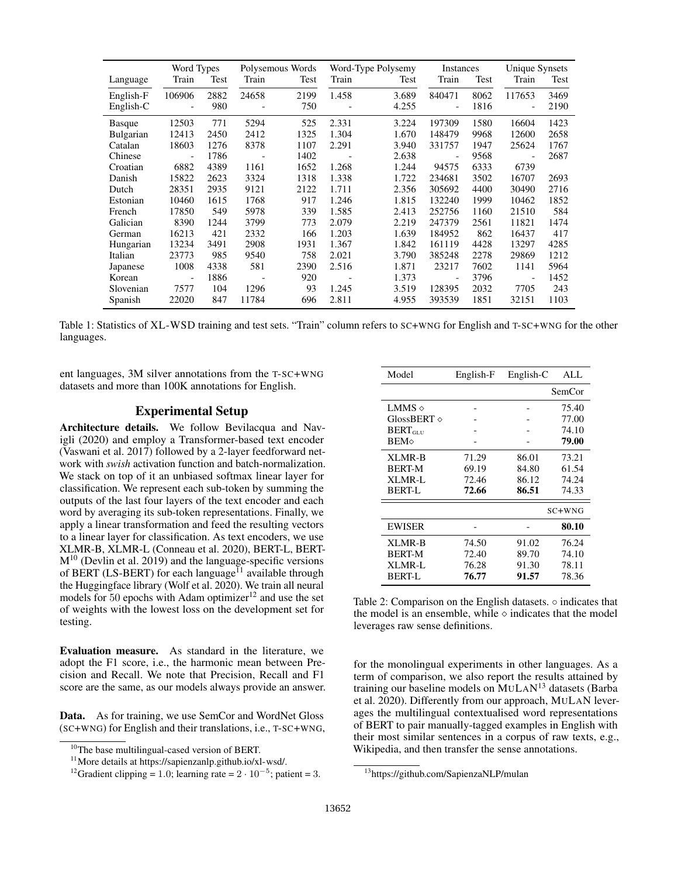|                  | Word Types               |      |       | Polysemous Words | Word-Type Polysemy       |       | Instances                |      | Unique Synsets           |      |
|------------------|--------------------------|------|-------|------------------|--------------------------|-------|--------------------------|------|--------------------------|------|
| Language         | Train                    | Test | Train | Test             | Train                    | Test  | Train                    | Test | Train                    | Test |
| English-F        | 106906                   | 2882 | 24658 | 2199             | 1.458                    | 3.689 | 840471                   | 8062 | 117653                   | 3469 |
| English-C        | $\overline{\phantom{a}}$ | 980  |       | 750              | $\overline{\phantom{a}}$ | 4.255 | $\overline{\phantom{a}}$ | 1816 | $\qquad \qquad -$        | 2190 |
| <b>Basque</b>    | 12503                    | 771  | 5294  | 525              | 2.331                    | 3.224 | 197309                   | 1580 | 16604                    | 1423 |
| <b>Bulgarian</b> | 12413                    | 2450 | 2412  | 1325             | 1.304                    | 1.670 | 148479                   | 9968 | 12600                    | 2658 |
| Catalan          | 18603                    | 1276 | 8378  | 1107             | 2.291                    | 3.940 | 331757                   | 1947 | 25624                    | 1767 |
| Chinese          | $\blacksquare$           | 1786 |       | 1402             |                          | 2.638 | $\overline{\phantom{a}}$ | 9568 | $\overline{\phantom{a}}$ | 2687 |
| Croatian         | 6882                     | 4389 | 1161  | 1652             | 1.268                    | 1.244 | 94575                    | 6333 | 6739                     |      |
| Danish           | 15822                    | 2623 | 3324  | 1318             | 1.338                    | 1.722 | 234681                   | 3502 | 16707                    | 2693 |
| Dutch            | 28351                    | 2935 | 9121  | 2122             | 1.711                    | 2.356 | 305692                   | 4400 | 30490                    | 2716 |
| Estonian         | 10460                    | 1615 | 1768  | 917              | 1.246                    | 1.815 | 132240                   | 1999 | 10462                    | 1852 |
| French           | 17850                    | 549  | 5978  | 339              | 1.585                    | 2.413 | 252756                   | 1160 | 21510                    | 584  |
| Galician         | 8390                     | 1244 | 3799  | 773              | 2.079                    | 2.219 | 247379                   | 2561 | 11821                    | 1474 |
| German           | 16213                    | 421  | 2332  | 166              | 1.203                    | 1.639 | 184952                   | 862  | 16437                    | 417  |
| Hungarian        | 13234                    | 3491 | 2908  | 1931             | 1.367                    | 1.842 | 161119                   | 4428 | 13297                    | 4285 |
| Italian          | 23773                    | 985  | 9540  | 758              | 2.021                    | 3.790 | 385248                   | 2278 | 29869                    | 1212 |
| Japanese         | 1008                     | 4338 | 581   | 2390             | 2.516                    | 1.871 | 23217                    | 7602 | 1141                     | 5964 |
| Korean           |                          | 1886 |       | 920              |                          | 1.373 | $\overline{\phantom{0}}$ | 3796 | $\blacksquare$           | 1452 |
| Slovenian        | 7577                     | 104  | 1296  | 93               | 1.245                    | 3.519 | 128395                   | 2032 | 7705                     | 243  |
| Spanish          | 22020                    | 847  | 11784 | 696              | 2.811                    | 4.955 | 393539                   | 1851 | 32151                    | 1103 |

Table 1: Statistics of XL-WSD training and test sets. "Train" column refers to SC+WNG for English and T-SC+WNG for the other languages.

ent languages, 3M silver annotations from the T-SC+WNG datasets and more than 100K annotations for English.

### Experimental Setup

Architecture details. We follow Bevilacqua and Navigli (2020) and employ a Transformer-based text encoder (Vaswani et al. 2017) followed by a 2-layer feedforward network with *swish* activation function and batch-normalization. We stack on top of it an unbiased softmax linear layer for classification. We represent each sub-token by summing the outputs of the last four layers of the text encoder and each word by averaging its sub-token representations. Finally, we apply a linear transformation and feed the resulting vectors to a linear layer for classification. As text encoders, we use XLMR-B, XLMR-L (Conneau et al. 2020), BERT-L, BERT- $M^{10}$  (Devlin et al. 2019) and the language-specific versions of BERT (LS-BERT) for each language<sup>11</sup> available through the Huggingface library (Wolf et al. 2020). We train all neural models for 50 epochs with Adam optimizer<sup>12</sup> and use the set of weights with the lowest loss on the development set for testing.

Evaluation measure. As standard in the literature, we adopt the F1 score, i.e., the harmonic mean between Precision and Recall. We note that Precision, Recall and F1 score are the same, as our models always provide an answer.

Data. As for training, we use SemCor and WordNet Gloss (SC+WNG) for English and their translations, i.e., T-SC+WNG,

| Model                | English-F | English-C | ALL    |
|----------------------|-----------|-----------|--------|
|                      |           |           | SemCor |
| LMMS $\Diamond$      |           |           | 75.40  |
| GlossBERT $\diamond$ |           |           | 77.00  |
| $BERT_{GLU}$         |           |           | 74.10  |
| <b>BEM</b>           |           |           | 79.00  |
| XLMR-B               | 71.29     | 86.01     | 73.21  |
| <b>BERT-M</b>        | 69.19     | 84.80     | 61.54  |
| XLMR-L               | 72.46     | 86.12     | 74.24  |
| <b>BERT-L</b>        | 72.66     | 86.51     | 74.33  |
|                      |           |           | SC+WNG |
| <b>EWISER</b>        |           |           | 80.10  |
| XLMR-B               | 74.50     | 91.02     | 76.24  |
| <b>BERT-M</b>        | 72.40     | 89.70     | 74.10  |
| XLMR-L               | 76.28     | 91.30     | 78.11  |
| <b>BERT-L</b>        | 76.77     | 91.57     | 78.36  |

Table 2: Comparison on the English datasets. ◦ indicates that the model is an ensemble, while  $\diamond$  indicates that the model leverages raw sense definitions.

for the monolingual experiments in other languages. As a term of comparison, we also report the results attained by training our baseline models on MULAN <sup>13</sup> datasets (Barba et al. 2020). Differently from our approach, MULAN leverages the multilingual contextualised word representations of BERT to pair manually-tagged examples in English with their most similar sentences in a corpus of raw texts, e.g., Wikipedia, and then transfer the sense annotations.

<sup>&</sup>lt;sup>10</sup>The base multilingual-cased version of BERT.

<sup>11</sup>More details at https://sapienzanlp.github.io/xl-wsd/.

<sup>&</sup>lt;sup>12</sup>Gradient clipping = 1.0; learning rate =  $2 \cdot 10^{-5}$ ; patient = 3.

<sup>13</sup>https://github.com/SapienzaNLP/mulan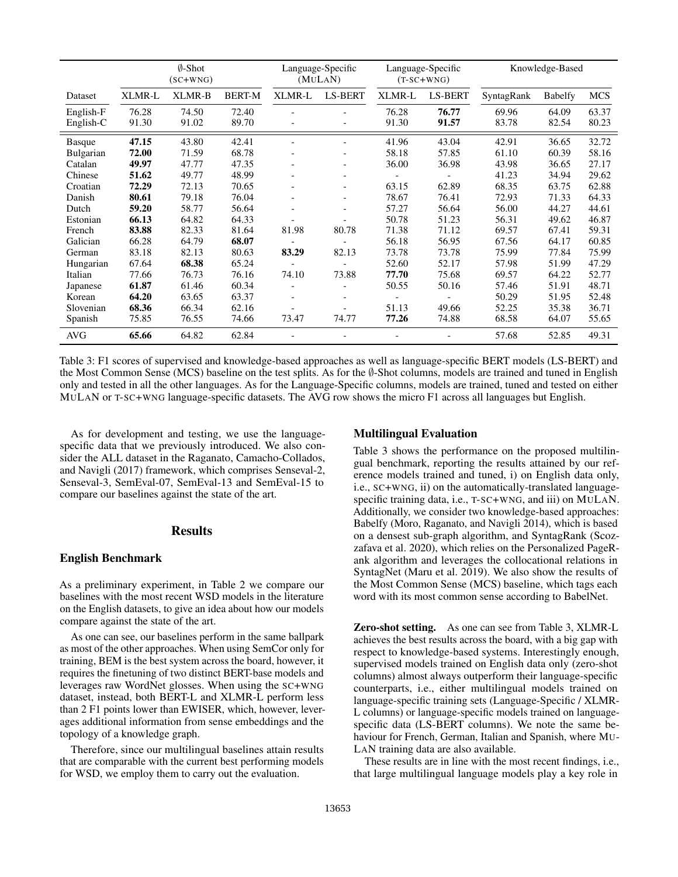|               | $\emptyset$ -Shot<br>$(SC+WNG)$ |        | Language-Specific<br>(MULAN) |                          | Language-Specific<br>$(T-SC+WNG)$ |        | Knowledge-Based |            |         |            |
|---------------|---------------------------------|--------|------------------------------|--------------------------|-----------------------------------|--------|-----------------|------------|---------|------------|
| Dataset       | XLMR-L                          | XLMR-B | <b>BERT-M</b>                | XLMR-L                   | <b>LS-BERT</b>                    | XLMR-L | <b>LS-BERT</b>  | SyntagRank | Babelfy | <b>MCS</b> |
| English-F     | 76.28                           | 74.50  | 72.40                        |                          |                                   | 76.28  | 76.77           | 69.96      | 64.09   | 63.37      |
| English-C     | 91.30                           | 91.02  | 89.70                        |                          |                                   | 91.30  | 91.57           | 83.78      | 82.54   | 80.23      |
| <b>Basque</b> | 47.15                           | 43.80  | 42.41                        |                          |                                   | 41.96  | 43.04           | 42.91      | 36.65   | 32.72      |
| Bulgarian     | 72.00                           | 71.59  | 68.78                        |                          |                                   | 58.18  | 57.85           | 61.10      | 60.39   | 58.16      |
| Catalan       | 49.97                           | 47.77  | 47.35                        |                          | $\overline{\phantom{a}}$          | 36.00  | 36.98           | 43.98      | 36.65   | 27.17      |
| Chinese       | 51.62                           | 49.77  | 48.99                        |                          |                                   |        |                 | 41.23      | 34.94   | 29.62      |
| Croatian      | 72.29                           | 72.13  | 70.65                        | $\overline{\phantom{a}}$ | $\overline{\phantom{a}}$          | 63.15  | 62.89           | 68.35      | 63.75   | 62.88      |
| Danish        | 80.61                           | 79.18  | 76.04                        | $\overline{\phantom{a}}$ | $\qquad \qquad -$                 | 78.67  | 76.41           | 72.93      | 71.33   | 64.33      |
| Dutch         | 59.20                           | 58.77  | 56.64                        | $\overline{\phantom{a}}$ | $\overline{\phantom{a}}$          | 57.27  | 56.64           | 56.00      | 44.27   | 44.61      |
| Estonian      | 66.13                           | 64.82  | 64.33                        |                          |                                   | 50.78  | 51.23           | 56.31      | 49.62   | 46.87      |
| French        | 83.88                           | 82.33  | 81.64                        | 81.98                    | 80.78                             | 71.38  | 71.12           | 69.57      | 67.41   | 59.31      |
| Galician      | 66.28                           | 64.79  | 68.07                        |                          |                                   | 56.18  | 56.95           | 67.56      | 64.17   | 60.85      |
| German        | 83.18                           | 82.13  | 80.63                        | 83.29                    | 82.13                             | 73.78  | 73.78           | 75.99      | 77.84   | 75.99      |
| Hungarian     | 67.64                           | 68.38  | 65.24                        |                          |                                   | 52.60  | 52.17           | 57.98      | 51.99   | 47.29      |
| Italian       | 77.66                           | 76.73  | 76.16                        | 74.10                    | 73.88                             | 77.70  | 75.68           | 69.57      | 64.22   | 52.77      |
| Japanese      | 61.87                           | 61.46  | 60.34                        |                          | $\overline{a}$                    | 50.55  | 50.16           | 57.46      | 51.91   | 48.71      |
| Korean        | 64.20                           | 63.65  | 63.37                        | $\overline{a}$           | $\overline{\phantom{a}}$          |        |                 | 50.29      | 51.95   | 52.48      |
| Slovenian     | 68.36                           | 66.34  | 62.16                        |                          |                                   | 51.13  | 49.66           | 52.25      | 35.38   | 36.71      |
| Spanish       | 75.85                           | 76.55  | 74.66                        | 73.47                    | 74.77                             | 77.26  | 74.88           | 68.58      | 64.07   | 55.65      |
| <b>AVG</b>    | 65.66                           | 64.82  | 62.84                        |                          |                                   |        |                 | 57.68      | 52.85   | 49.31      |

Table 3: F1 scores of supervised and knowledge-based approaches as well as language-specific BERT models (LS-BERT) and the Most Common Sense (MCS) baseline on the test splits. As for the ∅-Shot columns, models are trained and tuned in English only and tested in all the other languages. As for the Language-Specific columns, models are trained, tuned and tested on either MULAN or T-SC+WNG language-specific datasets. The AVG row shows the micro F1 across all languages but English.

As for development and testing, we use the languagespecific data that we previously introduced. We also consider the ALL dataset in the Raganato, Camacho-Collados, and Navigli (2017) framework, which comprises Senseval-2, Senseval-3, SemEval-07, SemEval-13 and SemEval-15 to compare our baselines against the state of the art.

### Results

#### English Benchmark

As a preliminary experiment, in Table 2 we compare our baselines with the most recent WSD models in the literature on the English datasets, to give an idea about how our models compare against the state of the art.

As one can see, our baselines perform in the same ballpark as most of the other approaches. When using SemCor only for training, BEM is the best system across the board, however, it requires the finetuning of two distinct BERT-base models and leverages raw WordNet glosses. When using the SC+WNG dataset, instead, both BERT-L and XLMR-L perform less than 2 F1 points lower than EWISER, which, however, leverages additional information from sense embeddings and the topology of a knowledge graph.

Therefore, since our multilingual baselines attain results that are comparable with the current best performing models for WSD, we employ them to carry out the evaluation.

#### Multilingual Evaluation

Table 3 shows the performance on the proposed multilingual benchmark, reporting the results attained by our reference models trained and tuned, i) on English data only, i.e., SC+WNG, ii) on the automatically-translated languagespecific training data, i.e., T-SC+WNG, and iii) on MULAN. Additionally, we consider two knowledge-based approaches: Babelfy (Moro, Raganato, and Navigli 2014), which is based on a densest sub-graph algorithm, and SyntagRank (Scozzafava et al. 2020), which relies on the Personalized PageRank algorithm and leverages the collocational relations in SyntagNet (Maru et al. 2019). We also show the results of the Most Common Sense (MCS) baseline, which tags each word with its most common sense according to BabelNet.

Zero-shot setting. As one can see from Table 3, XLMR-L achieves the best results across the board, with a big gap with respect to knowledge-based systems. Interestingly enough, supervised models trained on English data only (zero-shot columns) almost always outperform their language-specific counterparts, i.e., either multilingual models trained on language-specific training sets (Language-Specific / XLMR-L columns) or language-specific models trained on languagespecific data (LS-BERT columns). We note the same behaviour for French, German, Italian and Spanish, where MU-LAN training data are also available.

These results are in line with the most recent findings, i.e., that large multilingual language models play a key role in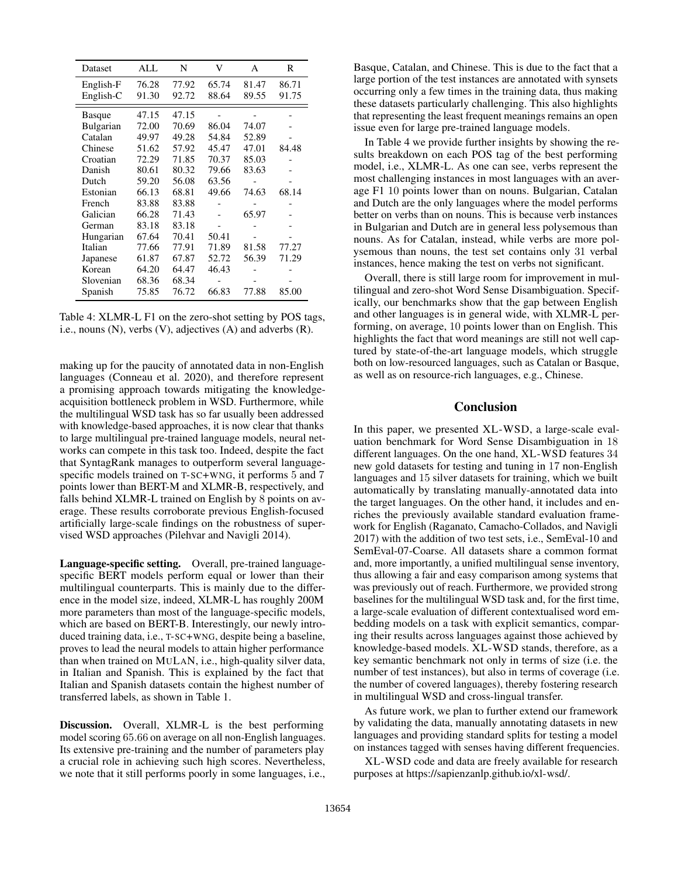| Dataset       | ALL   | N     | V     | A     | R     |
|---------------|-------|-------|-------|-------|-------|
| English-F     | 76.28 | 77.92 | 65.74 | 81.47 | 86.71 |
| English-C     | 91.30 | 92.72 | 88.64 | 89.55 | 91.75 |
| <b>Basque</b> | 47.15 | 47.15 |       |       |       |
| Bulgarian     | 72.00 | 70.69 | 86.04 | 74.07 |       |
| Catalan       | 49.97 | 49.28 | 54.84 | 52.89 |       |
| Chinese       | 51.62 | 57.92 | 45.47 | 47.01 | 84.48 |
| Croatian      | 72.29 | 71.85 | 70.37 | 85.03 |       |
| Danish        | 80.61 | 80.32 | 79.66 | 83.63 |       |
| Dutch         | 59.20 | 56.08 | 63.56 |       |       |
| Estonian      | 66.13 | 68.81 | 49.66 | 74.63 | 68.14 |
| French        | 83.88 | 83.88 |       |       |       |
| Galician      | 66.28 | 71.43 |       | 65.97 |       |
| German        | 83.18 | 83.18 |       |       |       |
| Hungarian     | 67.64 | 70.41 | 50.41 |       |       |
| Italian       | 77.66 | 77.91 | 71.89 | 81.58 | 77.27 |
| Japanese      | 61.87 | 67.87 | 52.72 | 56.39 | 71.29 |
| Korean        | 64.20 | 64.47 | 46.43 |       |       |
| Slovenian     | 68.36 | 68.34 |       |       |       |
| Spanish       | 75.85 | 76.72 | 66.83 | 77.88 | 85.00 |

Table 4: XLMR-L F1 on the zero-shot setting by POS tags, i.e., nouns (N), verbs (V), adjectives (A) and adverbs (R).

making up for the paucity of annotated data in non-English languages (Conneau et al. 2020), and therefore represent a promising approach towards mitigating the knowledgeacquisition bottleneck problem in WSD. Furthermore, while the multilingual WSD task has so far usually been addressed with knowledge-based approaches, it is now clear that thanks to large multilingual pre-trained language models, neural networks can compete in this task too. Indeed, despite the fact that SyntagRank manages to outperform several languagespecific models trained on T-SC+WNG, it performs 5 and 7 points lower than BERT-M and XLMR-B, respectively, and falls behind XLMR-L trained on English by 8 points on average. These results corroborate previous English-focused artificially large-scale findings on the robustness of supervised WSD approaches (Pilehvar and Navigli 2014).

Language-specific setting. Overall, pre-trained languagespecific BERT models perform equal or lower than their multilingual counterparts. This is mainly due to the difference in the model size, indeed, XLMR-L has roughly 200M more parameters than most of the language-specific models, which are based on BERT-B. Interestingly, our newly introduced training data, i.e., T-SC+WNG, despite being a baseline, proves to lead the neural models to attain higher performance than when trained on MULAN, i.e., high-quality silver data, in Italian and Spanish. This is explained by the fact that Italian and Spanish datasets contain the highest number of transferred labels, as shown in Table 1.

Discussion. Overall, XLMR-L is the best performing model scoring 65.66 on average on all non-English languages. Its extensive pre-training and the number of parameters play a crucial role in achieving such high scores. Nevertheless, we note that it still performs poorly in some languages, i.e., Basque, Catalan, and Chinese. This is due to the fact that a large portion of the test instances are annotated with synsets occurring only a few times in the training data, thus making these datasets particularly challenging. This also highlights that representing the least frequent meanings remains an open issue even for large pre-trained language models.

In Table 4 we provide further insights by showing the results breakdown on each POS tag of the best performing model, i.e., XLMR-L. As one can see, verbs represent the most challenging instances in most languages with an average F1 10 points lower than on nouns. Bulgarian, Catalan and Dutch are the only languages where the model performs better on verbs than on nouns. This is because verb instances in Bulgarian and Dutch are in general less polysemous than nouns. As for Catalan, instead, while verbs are more polysemous than nouns, the test set contains only 31 verbal instances, hence making the test on verbs not significant.

Overall, there is still large room for improvement in multilingual and zero-shot Word Sense Disambiguation. Specifically, our benchmarks show that the gap between English and other languages is in general wide, with XLMR-L performing, on average, 10 points lower than on English. This highlights the fact that word meanings are still not well captured by state-of-the-art language models, which struggle both on low-resourced languages, such as Catalan or Basque, as well as on resource-rich languages, e.g., Chinese.

### Conclusion

In this paper, we presented XL-WSD, a large-scale evaluation benchmark for Word Sense Disambiguation in 18 different languages. On the one hand, XL-WSD features 34 new gold datasets for testing and tuning in 17 non-English languages and 15 silver datasets for training, which we built automatically by translating manually-annotated data into the target languages. On the other hand, it includes and enriches the previously available standard evaluation framework for English (Raganato, Camacho-Collados, and Navigli 2017) with the addition of two test sets, i.e., SemEval-10 and SemEval-07-Coarse. All datasets share a common format and, more importantly, a unified multilingual sense inventory, thus allowing a fair and easy comparison among systems that was previously out of reach. Furthermore, we provided strong baselines for the multilingual WSD task and, for the first time, a large-scale evaluation of different contextualised word embedding models on a task with explicit semantics, comparing their results across languages against those achieved by knowledge-based models. XL-WSD stands, therefore, as a key semantic benchmark not only in terms of size (i.e. the number of test instances), but also in terms of coverage (i.e. the number of covered languages), thereby fostering research in multilingual WSD and cross-lingual transfer.

As future work, we plan to further extend our framework by validating the data, manually annotating datasets in new languages and providing standard splits for testing a model on instances tagged with senses having different frequencies.

XL-WSD code and data are freely available for research purposes at https://sapienzanlp.github.io/xl-wsd/.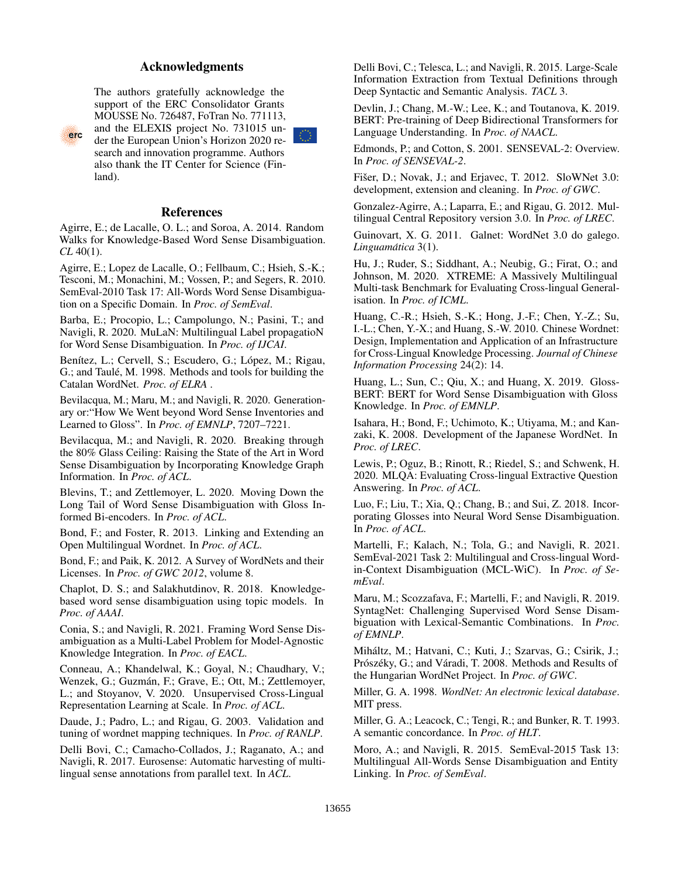# Acknowledgments



The authors gratefully acknowledge the support of the ERC Consolidator Grants MOUSSE No. 726487, FoTran No. 771113, and the ELEXIS project No. 731015 under the European Union's Horizon 2020 research and innovation programme. Authors also thank the IT Center for Science (Finland).



Agirre, E.; de Lacalle, O. L.; and Soroa, A. 2014. Random Walks for Knowledge-Based Word Sense Disambiguation. *CL* 40(1).

Agirre, E.; Lopez de Lacalle, O.; Fellbaum, C.; Hsieh, S.-K.; Tesconi, M.; Monachini, M.; Vossen, P.; and Segers, R. 2010. SemEval-2010 Task 17: All-Words Word Sense Disambiguation on a Specific Domain. In *Proc. of SemEval*.

Barba, E.; Procopio, L.; Campolungo, N.; Pasini, T.; and Navigli, R. 2020. MuLaN: Multilingual Label propagatioN for Word Sense Disambiguation. In *Proc. of IJCAI*.

Benítez, L.; Cervell, S.; Escudero, G.; López, M.; Rigau, G.; and Taulé, M. 1998. Methods and tools for building the Catalan WordNet. *Proc. of ELRA* .

Bevilacqua, M.; Maru, M.; and Navigli, R. 2020. Generationary or:"How We Went beyond Word Sense Inventories and Learned to Gloss". In *Proc. of EMNLP*, 7207–7221.

Bevilacqua, M.; and Navigli, R. 2020. Breaking through the 80% Glass Ceiling: Raising the State of the Art in Word Sense Disambiguation by Incorporating Knowledge Graph Information. In *Proc. of ACL*.

Blevins, T.; and Zettlemoyer, L. 2020. Moving Down the Long Tail of Word Sense Disambiguation with Gloss Informed Bi-encoders. In *Proc. of ACL*.

Bond, F.; and Foster, R. 2013. Linking and Extending an Open Multilingual Wordnet. In *Proc. of ACL*.

Bond, F.; and Paik, K. 2012. A Survey of WordNets and their Licenses. In *Proc. of GWC 2012*, volume 8.

Chaplot, D. S.; and Salakhutdinov, R. 2018. Knowledgebased word sense disambiguation using topic models. In *Proc. of AAAI*.

Conia, S.; and Navigli, R. 2021. Framing Word Sense Disambiguation as a Multi-Label Problem for Model-Agnostic Knowledge Integration. In *Proc. of EACL*.

Conneau, A.; Khandelwal, K.; Goyal, N.; Chaudhary, V.; Wenzek, G.; Guzmán, F.; Grave, E.; Ott, M.; Zettlemoyer, L.; and Stoyanov, V. 2020. Unsupervised Cross-Lingual Representation Learning at Scale. In *Proc. of ACL*.

Daude, J.; Padro, L.; and Rigau, G. 2003. Validation and tuning of wordnet mapping techniques. In *Proc. of RANLP*.

Delli Bovi, C.; Camacho-Collados, J.; Raganato, A.; and Navigli, R. 2017. Eurosense: Automatic harvesting of multilingual sense annotations from parallel text. In *ACL*.

Delli Bovi, C.; Telesca, L.; and Navigli, R. 2015. Large-Scale Information Extraction from Textual Definitions through Deep Syntactic and Semantic Analysis. *TACL* 3.

Devlin, J.; Chang, M.-W.; Lee, K.; and Toutanova, K. 2019. BERT: Pre-training of Deep Bidirectional Transformers for Language Understanding. In *Proc. of NAACL*.

Edmonds, P.; and Cotton, S. 2001. SENSEVAL-2: Overview. In *Proc. of SENSEVAL-2*.

Fišer, D.; Novak, J.; and Erjavec, T. 2012. SloWNet 3.0: development, extension and cleaning. In *Proc. of GWC*.

Gonzalez-Agirre, A.; Laparra, E.; and Rigau, G. 2012. Multilingual Central Repository version 3.0. In *Proc. of LREC*.

Guinovart, X. G. 2011. Galnet: WordNet 3.0 do galego. *Linguamatica ´* 3(1).

Hu, J.; Ruder, S.; Siddhant, A.; Neubig, G.; Firat, O.; and Johnson, M. 2020. XTREME: A Massively Multilingual Multi-task Benchmark for Evaluating Cross-lingual Generalisation. In *Proc. of ICML*.

Huang, C.-R.; Hsieh, S.-K.; Hong, J.-F.; Chen, Y.-Z.; Su, I.-L.; Chen, Y.-X.; and Huang, S.-W. 2010. Chinese Wordnet: Design, Implementation and Application of an Infrastructure for Cross-Lingual Knowledge Processing. *Journal of Chinese Information Processing* 24(2): 14.

Huang, L.; Sun, C.; Qiu, X.; and Huang, X. 2019. Gloss-BERT: BERT for Word Sense Disambiguation with Gloss Knowledge. In *Proc. of EMNLP*.

Isahara, H.; Bond, F.; Uchimoto, K.; Utiyama, M.; and Kanzaki, K. 2008. Development of the Japanese WordNet. In *Proc. of LREC*.

Lewis, P.; Oguz, B.; Rinott, R.; Riedel, S.; and Schwenk, H. 2020. MLQA: Evaluating Cross-lingual Extractive Question Answering. In *Proc. of ACL*.

Luo, F.; Liu, T.; Xia, Q.; Chang, B.; and Sui, Z. 2018. Incorporating Glosses into Neural Word Sense Disambiguation. In *Proc. of ACL*.

Martelli, F.; Kalach, N.; Tola, G.; and Navigli, R. 2021. SemEval-2021 Task 2: Multilingual and Cross-lingual Wordin-Context Disambiguation (MCL-WiC). In *Proc. of SemEval*.

Maru, M.; Scozzafava, F.; Martelli, F.; and Navigli, R. 2019. SyntagNet: Challenging Supervised Word Sense Disambiguation with Lexical-Semantic Combinations. In *Proc. of EMNLP*.

Mihaltz, M.; Hatvani, C.; Kuti, J.; Szarvas, G.; Csirik, J.; ´ Prószéky, G.; and Váradi, T. 2008. Methods and Results of the Hungarian WordNet Project. In *Proc. of GWC*.

Miller, G. A. 1998. *WordNet: An electronic lexical database*. MIT press.

Miller, G. A.; Leacock, C.; Tengi, R.; and Bunker, R. T. 1993. A semantic concordance. In *Proc. of HLT*.

Moro, A.; and Navigli, R. 2015. SemEval-2015 Task 13: Multilingual All-Words Sense Disambiguation and Entity Linking. In *Proc. of SemEval*.